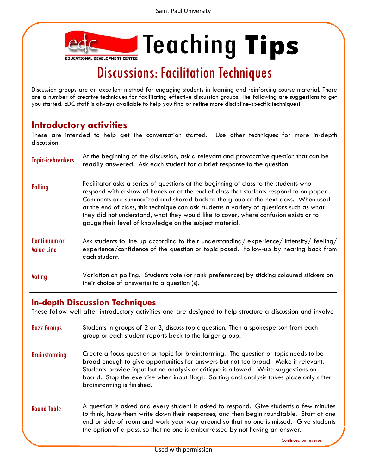

## Discussions: Facilitation Techniques

Discussion groups are an excellent method for engaging students in learning and reinforcing course material. There are a number of creative techniques for facilitating effective discussion groups. The following are suggestions to get you started. EDC staff is always available to help you find or refine more discipline-specifictechniques!

## **Introductory activities**

These are intended to help get the conversation started. Use other techniques for more in-depth discussion.

| <b>Topic-icebreakers</b>          | At the beginning of the discussion, ask a relevant and provocative question that can be<br>readily answered. Ask each student for a brief response to the question.                                                                                                                                                                                                                                                                                                                                                |
|-----------------------------------|--------------------------------------------------------------------------------------------------------------------------------------------------------------------------------------------------------------------------------------------------------------------------------------------------------------------------------------------------------------------------------------------------------------------------------------------------------------------------------------------------------------------|
| <b>Polling</b>                    | Facilitator asks a series of questions at the beginning of class to the students who<br>respond with a show of hands or at the end of class that students respond to on paper.<br>Comments are summarized and shared back to the group at the next class. When used<br>at the end of class, this technique can ask students a variety of questions such as what<br>they did not understand, what they would like to cover, where confusion exists or to<br>gauge their level of knowledge on the subject material. |
| Continuum or<br><b>Value Line</b> | Ask students to line up according to their understanding/experience/intensity/feeling/<br>experience/confidence of the question or topic posed. Follow-up by hearing back from<br>each student.                                                                                                                                                                                                                                                                                                                    |
| <b>Voting</b>                     | Variation on polling. Students vote (or rank preferences) by sticking coloured stickers on<br>their choice of answer(s) to a question (s).                                                                                                                                                                                                                                                                                                                                                                         |

## **In-depth Discussion Techniques**

These follow well after introductory activities and are designed to help structure a discussion and involve

- Buzz Groups Students in groups of 2 or 3, discuss topic question. Then a spokesperson from each group or each student reports back to the larger group.
- Brainstorming Create a focus question or topic for brainstorming. The question or topic needs to be broad enough to give opportunities for answers but not too broad. Make it relevant. Students provide input but no analysis or critique is allowed. Write suggestions on board. Stop the exercise when input flags. Sorting and analysis takes place only after brainstorming is finished.
- **Round Table** A question is asked and every student is asked to respond. Give students a few minutes to think, have them write down their responses, and then begin roundtable. Start at one end or side of room and work your way around so that no one is missed. Give students the option of a pass, so that no one is embarrassed by not having an answer.

Continued on reverse.